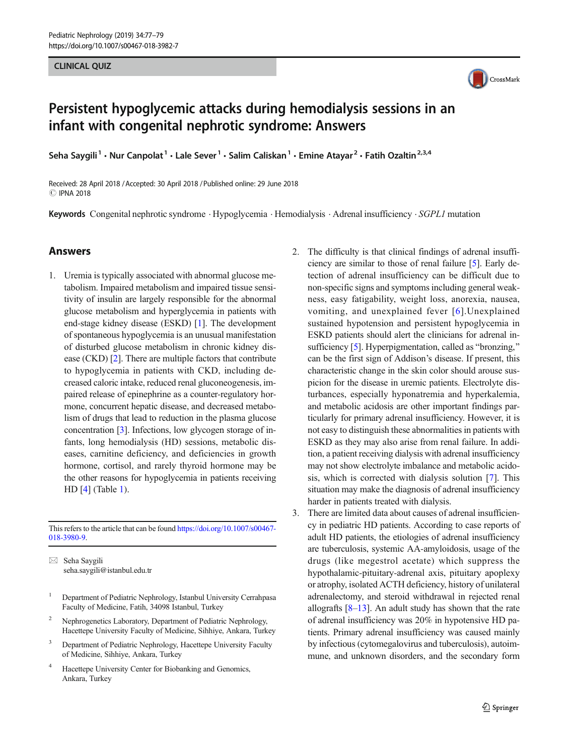# CLINICAL COMPANY



## Persistent hypoglycemic attacks during hemodialysis sessions in an infant with congenital nephrotic syndrome: Answers

Seha Saygili<sup>1</sup> • Nur Canpolat<sup>1</sup> • Lale Sever<sup>1</sup> • Salim Caliskan<sup>1</sup> • Emine Atayar<sup>2</sup> • Fatih Ozaltin<sup>2,3,4</sup>

Received: 28 April 2018 /Accepted: 30 April 2018 /Published online: 29 June 2018 C IPNA 2018

Keywords Congenital nephrotic syndrome · Hypoglycemia · Hemodialysis · Adrenal insufficiency · SGPL1 mutation

### Answers

1. Uremia is typically associated with abnormal glucose metabolism. Impaired metabolism and impaired tissue sensitivity of insulin are largely responsible for the abnormal glucose metabolism and hyperglycemia in patients with end-stage kidney disease (ESKD) [[1\]](#page-2-0). The development of spontaneous hypoglycemia is an unusual manifestation of disturbed glucose metabolism in chronic kidney disease (CKD) [[2](#page-2-0)]. There are multiple factors that contribute to hypoglycemia in patients with CKD, including decreased caloric intake, reduced renal gluconeogenesis, impaired release of epinephrine as a counter-regulatory hormone, concurrent hepatic disease, and decreased metabolism of drugs that lead to reduction in the plasma glucose concentration [\[3](#page-2-0)]. Infections, low glycogen storage of infants, long hemodialysis (HD) sessions, metabolic diseases, carnitine deficiency, and deficiencies in growth hormone, cortisol, and rarely thyroid hormone may be the other reasons for hypoglycemia in patients receiving HD [\[4\]](#page-2-0) (Table [1\)](#page-1-0).

This refers to the article that can be found [https://doi.org/10.1007/s00467-](https://doi.org/10.1007/s00467-018-3980-9) [018-3980-9](https://doi.org/10.1007/s00467-018-3980-9).

 $\boxtimes$  Seha Saygili [seha.saygili@istanbul.edu.tr](mailto:seha.saygili@istanbul.edu.tr)

- <sup>1</sup> Department of Pediatric Nephrology, Istanbul University Cerrahpasa Faculty of Medicine, Fatih, 34098 Istanbul, Turkey
- <sup>2</sup> Nephrogenetics Laboratory, Department of Pediatric Nephrology, Hacettepe University Faculty of Medicine, Sihhiye, Ankara, Turkey
- <sup>3</sup> Department of Pediatric Nephrology, Hacettepe University Faculty of Medicine, Sihhiye, Ankara, Turkey
- <sup>4</sup> Hacettepe University Center for Biobanking and Genomics, Ankara, Turkey
- 2. The difficulty is that clinical findings of adrenal insufficiency are similar to those of renal failure [\[5](#page-2-0)]. Early detection of adrenal insufficiency can be difficult due to non-specific signs and symptoms including general weakness, easy fatigability, weight loss, anorexia, nausea, vomiting, and unexplained fever [[6](#page-2-0)].Unexplained sustained hypotension and persistent hypoglycemia in ESKD patients should alert the clinicians for adrenal insufficiency  $[5]$ . Hyperpigmentation, called as "bronzing," can be the first sign of Addison's disease. If present, this characteristic change in the skin color should arouse suspicion for the disease in uremic patients. Electrolyte disturbances, especially hyponatremia and hyperkalemia, and metabolic acidosis are other important findings particularly for primary adrenal insufficiency. However, it is not easy to distinguish these abnormalities in patients with ESKD as they may also arise from renal failure. In addition, a patient receiving dialysis with adrenal insufficiency may not show electrolyte imbalance and metabolic acidosis, which is corrected with dialysis solution [\[7](#page-2-0)]. This situation may make the diagnosis of adrenal insufficiency harder in patients treated with dialysis.
- 3. There are limited data about causes of adrenal insufficiency in pediatric HD patients. According to case reports of adult HD patients, the etiologies of adrenal insufficiency are tuberculosis, systemic AA-amyloidosis, usage of the drugs (like megestrol acetate) which suppress the hypothalamic-pituitary-adrenal axis, pituitary apoplexy or atrophy, isolated ACTH deficiency, history of unilateral adrenalectomy, and steroid withdrawal in rejected renal allografts  $[8-13]$  $[8-13]$  $[8-13]$ . An adult study has shown that the rate of adrenal insufficiency was 20% in hypotensive HD patients. Primary adrenal insufficiency was caused mainly by infectious (cytomegalovirus and tuberculosis), autoimmune, and unknown disorders, and the secondary form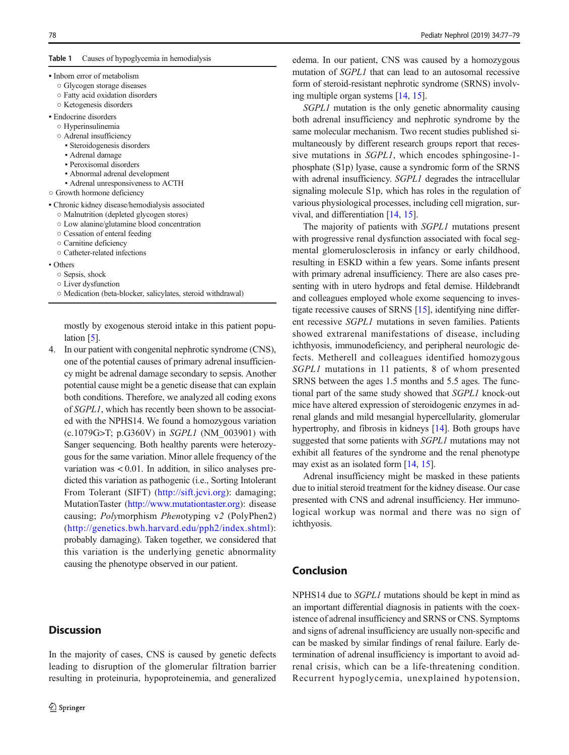#### <span id="page-1-0"></span>Table 1 Causes of hypoglycemia in hemodialysis

| • Inborn error of metabolism |
|------------------------------|

- Glycogen storage diseases
- Fatty acid oxidation disorders
- Ketogenesis disorders
- Endocrine disorders
	- Hyperinsulinemia
	- Adrenal insufficiency
		- Steroidogenesis disorders
		- Adrenal damage
		- Peroxisomal disorders
		- Abnormal adrenal development
	- Adrenal unresponsiveness to ACTH
- Growth hormone deficiency
- Chronic kidney disease/hemodialysis associated
	- Malnutrition (depleted glycogen stores)
	- Low alanine/glutamine blood concentration
	- Cessation of enteral feeding
	- Carnitine deficiency
	- Catheter-related infections
- Others
	- Sepsis, shock
	- Liver dysfunction
	- Medication (beta-blocker, salicylates, steroid withdrawal)

mostly by exogenous steroid intake in this patient popu-lation [[5\]](#page-2-0).

4. In our patient with congenital nephrotic syndrome (CNS), one of the potential causes of primary adrenal insufficiency might be adrenal damage secondary to sepsis. Another potential cause might be a genetic disease that can explain both conditions. Therefore, we analyzed all coding exons of SGPL1, which has recently been shown to be associated with the NPHS14. We found a homozygous variation (c.1079G>T; p.G360V) in SGPL1 (NM\_003901) with Sanger sequencing. Both healthy parents were heterozygous for the same variation. Minor allele frequency of the variation was < 0.01. In addition, in silico analyses predicted this variation as pathogenic (i.e., Sorting Intolerant From Tolerant (SIFT) [\(http://sift.jcvi.org](http://sift.jcvi.org)): damaging; MutationTaster (<http://www.mutationtaster.org>): disease causing; Polymorphism Phenotyping v2 (PolyPhen2) ([http://genetics.bwh.harvard.edu/pph2/index.shtml\)](http://genetics.bwh.harvard.edu/pph2/index.shtml): probably damaging). Taken together, we considered that this variation is the underlying genetic abnormality causing the phenotype observed in our patient.

## **Discussion**

In the majority of cases, CNS is caused by genetic defects leading to disruption of the glomerular filtration barrier resulting in proteinuria, hypoproteinemia, and generalized

edema. In our patient, CNS was caused by a homozygous mutation of SGPL1 that can lead to an autosomal recessive form of steroid-resistant nephrotic syndrome (SRNS) involving multiple organ systems [\[14,](#page-2-0) [15\]](#page-2-0).

SGPL1 mutation is the only genetic abnormality causing both adrenal insufficiency and nephrotic syndrome by the same molecular mechanism. Two recent studies published simultaneously by different research groups report that recessive mutations in SGPL1, which encodes sphingosine-1 phosphate (S1p) lyase, cause a syndromic form of the SRNS with adrenal insufficiency. SGPL1 degrades the intracellular signaling molecule S1p, which has roles in the regulation of various physiological processes, including cell migration, survival, and differentiation [[14](#page-2-0), [15](#page-2-0)].

The majority of patients with SGPL1 mutations present with progressive renal dysfunction associated with focal segmental glomerulosclerosis in infancy or early childhood, resulting in ESKD within a few years. Some infants present with primary adrenal insufficiency. There are also cases presenting with in utero hydrops and fetal demise. Hildebrandt and colleagues employed whole exome sequencing to investigate recessive causes of SRNS [\[15](#page-2-0)], identifying nine different recessive SGPL1 mutations in seven families. Patients showed extrarenal manifestations of disease, including ichthyosis, immunodeficiency, and peripheral neurologic defects. Metherell and colleagues identified homozygous SGPL1 mutations in 11 patients, 8 of whom presented SRNS between the ages 1.5 months and 5.5 ages. The functional part of the same study showed that SGPL1 knock-out mice have altered expression of steroidogenic enzymes in adrenal glands and mild mesangial hypercellularity, glomerular hypertrophy, and fibrosis in kidneys [\[14](#page-2-0)]. Both groups have suggested that some patients with *SGPL1* mutations may not exhibit all features of the syndrome and the renal phenotype may exist as an isolated form [\[14,](#page-2-0) [15\]](#page-2-0).

Adrenal insufficiency might be masked in these patients due to initial steroid treatment for the kidney disease. Our case presented with CNS and adrenal insufficiency. Her immunological workup was normal and there was no sign of ichthyosis.

### Conclusion

NPHS14 due to SGPL1 mutations should be kept in mind as an important differential diagnosis in patients with the coexistence of adrenal insufficiency and SRNS or CNS. Symptoms and signs of adrenal insufficiency are usually non-specific and can be masked by similar findings of renal failure. Early determination of adrenal insufficiency is important to avoid adrenal crisis, which can be a life-threatening condition. Recurrent hypoglycemia, unexplained hypotension,